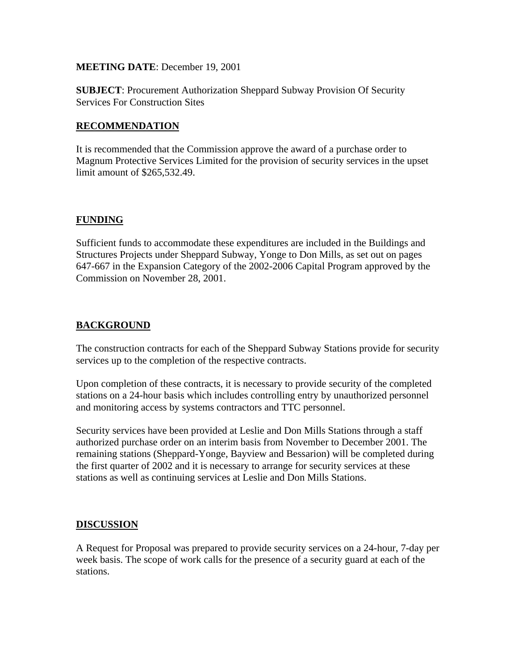## **MEETING DATE**: December 19, 2001

**SUBJECT**: Procurement Authorization Sheppard Subway Provision Of Security Services For Construction Sites

# **RECOMMENDATION**

It is recommended that the Commission approve the award of a purchase order to Magnum Protective Services Limited for the provision of security services in the upset limit amount of \$265,532.49.

# **FUNDING**

Sufficient funds to accommodate these expenditures are included in the Buildings and Structures Projects under Sheppard Subway, Yonge to Don Mills, as set out on pages 647-667 in the Expansion Category of the 2002-2006 Capital Program approved by the Commission on November 28, 2001.

# **BACKGROUND**

The construction contracts for each of the Sheppard Subway Stations provide for security services up to the completion of the respective contracts.

Upon completion of these contracts, it is necessary to provide security of the completed stations on a 24-hour basis which includes controlling entry by unauthorized personnel and monitoring access by systems contractors and TTC personnel.

Security services have been provided at Leslie and Don Mills Stations through a staff authorized purchase order on an interim basis from November to December 2001. The remaining stations (Sheppard-Yonge, Bayview and Bessarion) will be completed during the first quarter of 2002 and it is necessary to arrange for security services at these stations as well as continuing services at Leslie and Don Mills Stations.

# **DISCUSSION**

A Request for Proposal was prepared to provide security services on a 24-hour, 7-day per week basis. The scope of work calls for the presence of a security guard at each of the stations.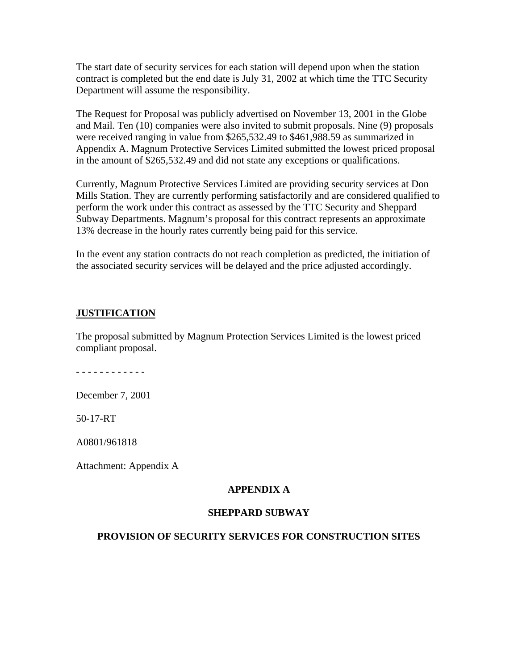The start date of security services for each station will depend upon when the station contract is completed but the end date is July 31, 2002 at which time the TTC Security Department will assume the responsibility.

The Request for Proposal was publicly advertised on November 13, 2001 in the Globe and Mail. Ten (10) companies were also invited to submit proposals. Nine (9) proposals were received ranging in value from \$265,532.49 to \$461,988.59 as summarized in Appendix A. Magnum Protective Services Limited submitted the lowest priced proposal in the amount of \$265,532.49 and did not state any exceptions or qualifications.

Currently, Magnum Protective Services Limited are providing security services at Don Mills Station. They are currently performing satisfactorily and are considered qualified to perform the work under this contract as assessed by the TTC Security and Sheppard Subway Departments. Magnum's proposal for this contract represents an approximate 13% decrease in the hourly rates currently being paid for this service.

In the event any station contracts do not reach completion as predicted, the initiation of the associated security services will be delayed and the price adjusted accordingly.

## **JUSTIFICATION**

The proposal submitted by Magnum Protection Services Limited is the lowest priced compliant proposal.

- - - - - - - - - - - -

December 7, 2001

50-17-RT

A0801/961818

Attachment: Appendix A

#### **APPENDIX A**

### **SHEPPARD SUBWAY**

#### **PROVISION OF SECURITY SERVICES FOR CONSTRUCTION SITES**